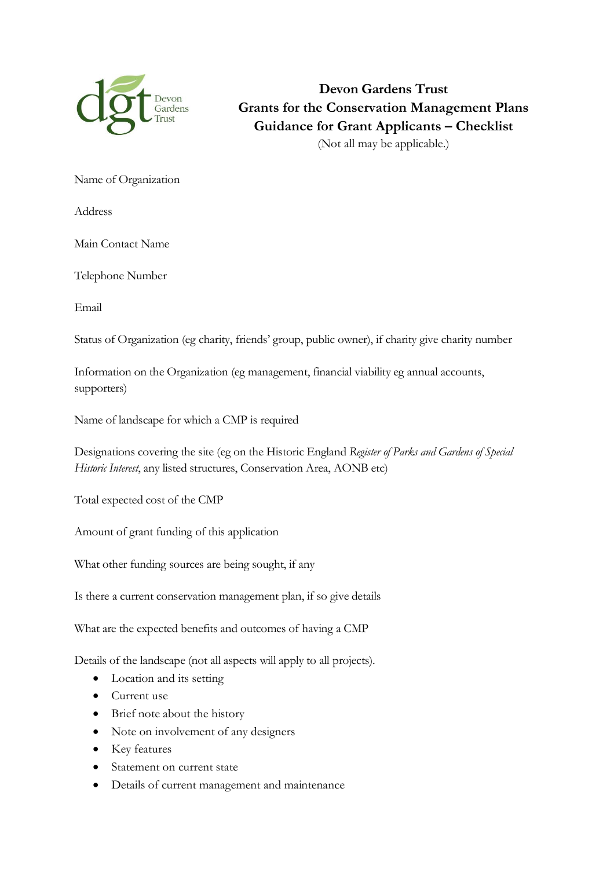

**Devon Gardens Trust Grants for the Conservation Management Plans Guidance for Grant Applicants – Checklist**  (Not all may be applicable.)

Name of Organization

Address

Main Contact Name

Telephone Number

Email

Status of Organization (eg charity, friends' group, public owner), if charity give charity number

Information on the Organization (eg management, financial viability eg annual accounts, supporters)

Name of landscape for which a CMP is required

Designations covering the site (eg on the Historic England *Register of Parks and Gardens of Special Historic Interest*, any listed structures, Conservation Area, AONB etc)

Total expected cost of the CMP

Amount of grant funding of this application

What other funding sources are being sought, if any

Is there a current conservation management plan, if so give details

What are the expected benefits and outcomes of having a CMP

Details of the landscape (not all aspects will apply to all projects).

- Location and its setting
- Current use
- Brief note about the history
- Note on involvement of any designers
- Key features
- Statement on current state
- Details of current management and maintenance